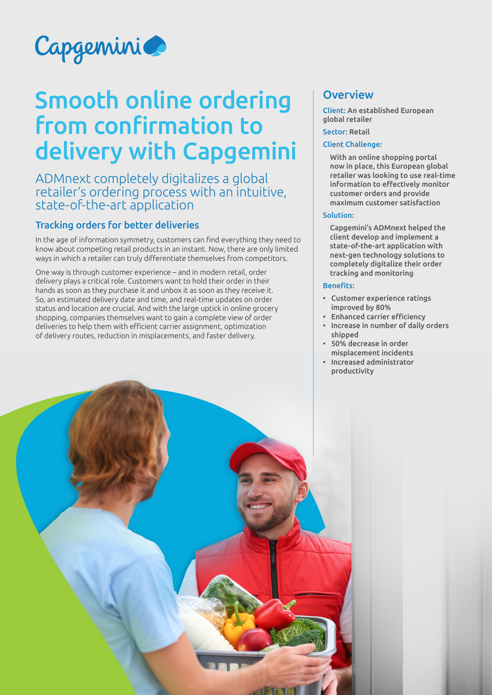

# Smooth online ordering from confirmation to delivery with Capgemini

ADMnext completely digitalizes a global retailer's ordering process with an intuitive, state-of-the-art application

# Tracking orders for better deliveries

In the age of information symmetry, customers can find everything they need to know about competing retail products in an instant. Now, there are only limited ways in which a retailer can truly differentiate themselves from competitors.

One way is through customer experience – and in modern retail, order delivery plays a critical role. Customers want to hold their order in their hands as soon as they purchase it and unbox it as soon as they receive it. So, an estimated delivery date and time, and real-time updates on order status and location are crucial. And with the large uptick in online grocery shopping, companies themselves want to gain a complete view of order deliveries to help them with efficient carrier assignment, optimization of delivery routes, reduction in misplacements, and faster delivery.

# **Overview**

Client: An established European global retailer

#### Sector: Retail

#### Client Challenge:

With an online shopping portal now in place, this European global retailer was looking to use real-time information to effectively monitor customer orders and provide maximum customer satisfaction

#### Solution:

Capgemini's ADMnext helped the client develop and implement a state-of-the-art application with next-gen technology solutions to completely digitalize their order tracking and monitoring

#### Benefits:

- Customer experience ratings improved by 80%
- Enhanced carrier efficiency
- Increase in number of daily orders shipped
- 50% decrease in order misplacement incidents
- Increased administrator productivity

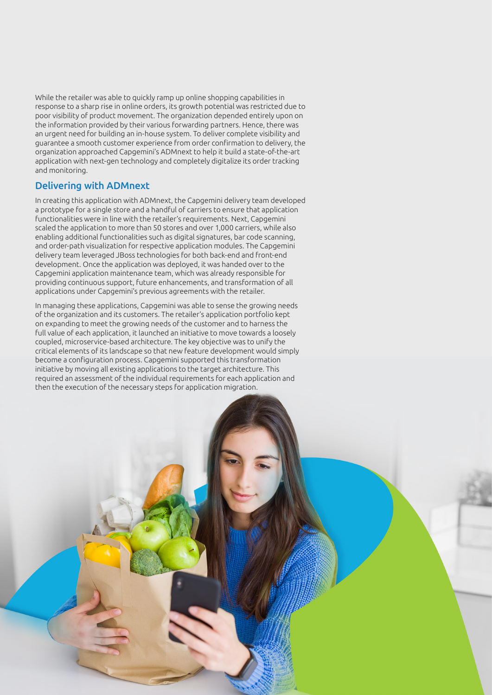While the retailer was able to quickly ramp up online shopping capabilities in response to a sharp rise in online orders, its growth potential was restricted due to poor visibility of product movement. The organization depended entirely upon on the information provided by their various forwarding partners. Hence, there was an urgent need for building an in-house system. To deliver complete visibility and guarantee a smooth customer experience from order confirmation to delivery, the organization approached Capgemini's ADMnext to help it build a state-of-the-art application with next-gen technology and completely digitalize its order tracking and monitoring.

## Delivering with ADMnext

In creating this application with ADMnext, the Capgemini delivery team developed a prototype for a single store and a handful of carriers to ensure that application functionalities were in line with the retailer's requirements. Next, Capgemini scaled the application to more than 50 stores and over 1,000 carriers, while also enabling additional functionalities such as digital signatures, bar code scanning, and order-path visualization for respective application modules. The Capgemini delivery team leveraged JBoss technologies for both back-end and front-end development. Once the application was deployed, it was handed over to the Capgemini application maintenance team, which was already responsible for providing continuous support, future enhancements, and transformation of all applications under Capgemini's previous agreements with the retailer.

In managing these applications, Capgemini was able to sense the growing needs of the organization and its customers. The retailer's application portfolio kept on expanding to meet the growing needs of the customer and to harness the full value of each application, it launched an initiative to move towards a loosely coupled, microservice-based architecture. The key objective was to unify the critical elements of its landscape so that new feature development would simply become a configuration process. Capgemini supported this transformation initiative by moving all existing applications to the target architecture. This required an assessment of the individual requirements for each application and then the execution of the necessary steps for application migration.